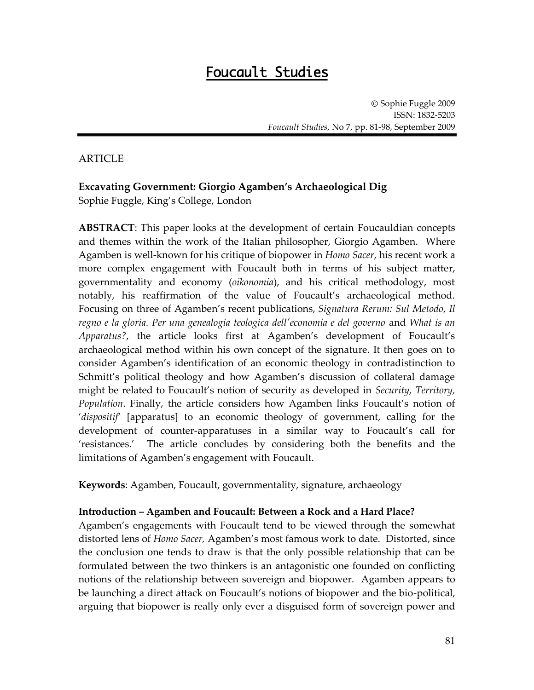# Foucault Studies

Sophie Fuggle 2009 ISSN: 1832-5203 *Foucault Studies*, No 7, pp. 81-98, September 2009

### ARTICLE

# **Excavating Government: Giorgio Agamben's Archaeological Dig**

Sophie Fuggle, King's College, London

**ABSTRACT**: This paper looks at the development of certain Foucauldian concepts and themes within the work of the Italian philosopher, Giorgio Agamben. Where Agamben is well-known for his critique of biopower in *Homo Sacer*, his recent work a more complex engagement with Foucault both in terms of his subject matter, governmentality and economy (*oikonomia*), and his critical methodology, most notably, his reaffirmation of the value of Foucault's archaeological method. Focusing on three of Agamben's recent publications, *Signatura Rerum: Sul Metodo*, *Il regno e la gloria. Per una genealogia teologica dell'economia e del governo* and *What is an Apparatus?*, the article looks first at Agamben's development of Foucault's archaeological method within his own concept of the signature. It then goes on to consider Agamben's identification of an economic theology in contradistinction to Schmitt's political theology and how Agamben's discussion of collateral damage might be related to Foucault's notion of security as developed in *Security, Territory, Population*. Finally, the article considers how Agamben links Foucault's notion of *dispositif* [apparatus] to an economic theology of government, calling for the development of counter-apparatuses in a similar way to Foucault's call for 'resistances.' The article concludes by considering both the benefits and the limitations of Agamben's engagement with Foucault.

**Keywords**: Agamben, Foucault, governmentality, signature, archaeology

#### **Introduction – Agamben and Foucault: Between a Rock and a Hard Place?**

Agamben's engagements with Foucault tend to be viewed through the somewhat distorted lens of *Homo Sacer,* Agamben's most famous work to date. Distorted, since the conclusion one tends to draw is that the only possible relationship that can be formulated between the two thinkers is an antagonistic one founded on conflicting notions of the relationship between sovereign and biopower. Agamben appears to be launching a direct attack on Foucault's notions of biopower and the bio-political, arguing that biopower is really only ever a disguised form of sovereign power and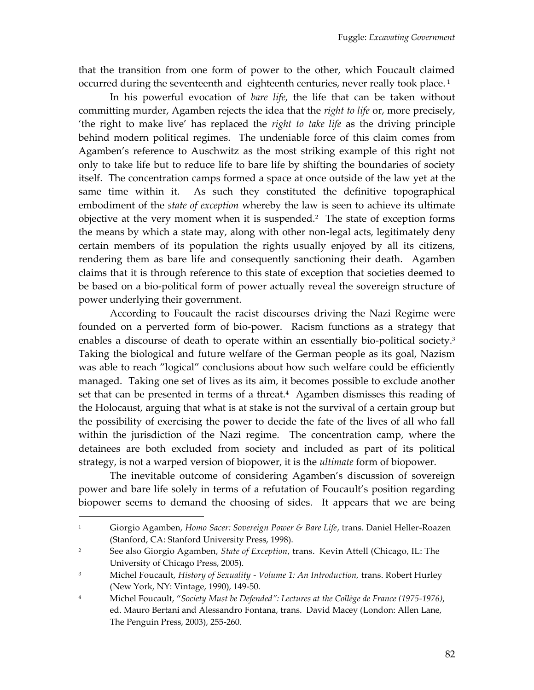that the transition from one form of power to the other, which Foucault claimed occurred during the seventeenth and eighteenth centuries, never really took place.<sup>1</sup>

In his powerful evocation of *bare life*, the life that can be taken without committing murder, Agamben rejects the idea that the *right to life* or, more precisely, 'the right to make live' has replaced the *right to take life* as the driving principle behind modern political regimes. The undeniable force of this claim comes from Agamben's reference to Auschwitz as the most striking example of this right not only to take life but to reduce life to bare life by shifting the boundaries of society itself. The concentration camps formed a space at once outside of the law yet at the same time within it. As such they constituted the definitive topographical embodiment of the *state of exception* whereby the law is seen to achieve its ultimate objective at the very moment when it is suspended.<sup>2</sup> The state of exception forms the means by which a state may, along with other non-legal acts, legitimately deny certain members of its population the rights usually enjoyed by all its citizens, rendering them as bare life and consequently sanctioning their death. Agamben claims that it is through reference to this state of exception that societies deemed to be based on a bio-political form of power actually reveal the sovereign structure of power underlying their government.

According to Foucault the racist discourses driving the Nazi Regime were founded on a perverted form of bio-power. Racism functions as a strategy that enables a discourse of death to operate within an essentially bio-political society.<sup>3</sup> Taking the biological and future welfare of the German people as its goal, Nazism was able to reach "logical" conclusions about how such welfare could be efficiently managed. Taking one set of lives as its aim, it becomes possible to exclude another set that can be presented in terms of a threat.<sup>4</sup> Agamben dismisses this reading of the Holocaust, arguing that what is at stake is not the survival of a certain group but the possibility of exercising the power to decide the fate of the lives of all who fall within the jurisdiction of the Nazi regime. The concentration camp, where the detainees are both excluded from society and included as part of its political strategy, is not a warped version of biopower, it is the *ultimate* form of biopower.

The inevitable outcome of considering Agamben's discussion of sovereign power and bare life solely in terms of a refutation of Foucault's position regarding biopower seems to demand the choosing of sides. It appears that we are being

<sup>1</sup> Giorgio Agamben, *Homo Sacer: Sovereign Power & Bare Life*, trans. Daniel Heller-Roazen (Stanford, CA: Stanford University Press, 1998).

<sup>2</sup> See also Giorgio Agamben, *State of Exception*, trans. Kevin Attell (Chicago, IL: The University of Chicago Press, 2005).

<sup>3</sup> Michel Foucault, *History of Sexuality - Volume 1: An Introduction,* trans. Robert Hurley (New York, NY: Vintage, 1990), 149-50.

<sup>4</sup> Michel Foucault, '*Society Must be Defended": Lectures at the Collège de France (1975-1976)*, ed. Mauro Bertani and Alessandro Fontana, trans. David Macey (London: Allen Lane, The Penguin Press, 2003), 255-260.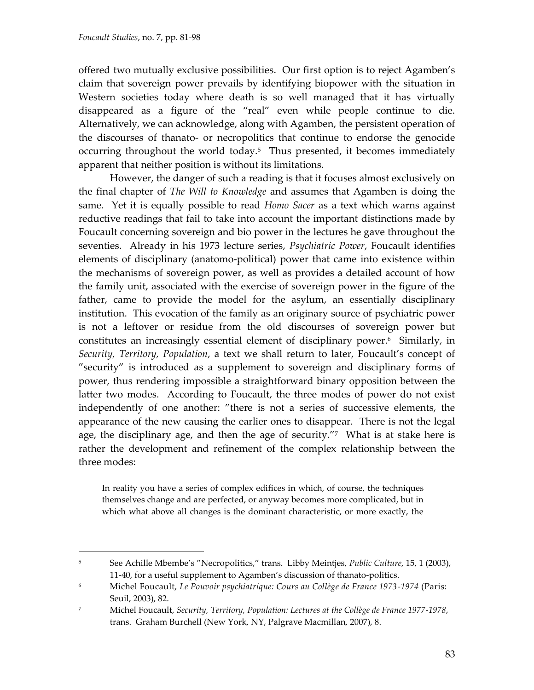$\overline{a}$ 

offered two mutually exclusive possibilities. Our first option is to reject Agamben's claim that sovereign power prevails by identifying biopower with the situation in Western societies today where death is so well managed that it has virtually disappeared as a figure of the 'real' even while people continue to die. Alternatively, we can acknowledge, along with Agamben, the persistent operation of the discourses of thanato- or necropolitics that continue to endorse the genocide occurring throughout the world today.<sup>5</sup> Thus presented, it becomes immediately apparent that neither position is without its limitations.

However, the danger of such a reading is that it focuses almost exclusively on the final chapter of *The Will to Knowledge* and assumes that Agamben is doing the same. Yet it is equally possible to read *Homo Sacer* as a text which warns against reductive readings that fail to take into account the important distinctions made by Foucault concerning sovereign and bio power in the lectures he gave throughout the seventies. Already in his 1973 lecture series, *Psychiatric Power*, Foucault identifies elements of disciplinary (anatomo-political) power that came into existence within the mechanisms of sovereign power, as well as provides a detailed account of how the family unit, associated with the exercise of sovereign power in the figure of the father, came to provide the model for the asylum, an essentially disciplinary institution. This evocation of the family as an originary source of psychiatric power is not a leftover or residue from the old discourses of sovereign power but constitutes an increasingly essential element of disciplinary power.<sup>6</sup> Similarly, in *Security, Territory, Population*, a text we shall return to later, Foucault's concept of 'security' is introduced as a supplement to sovereign and disciplinary forms of power, thus rendering impossible a straightforward binary opposition between the latter two modes. According to Foucault, the three modes of power do not exist independently of one another: 'there is not a series of successive elements, the appearance of the new causing the earlier ones to disappear. There is not the legal age, the disciplinary age, and then the age of security."<sup>7</sup> What is at stake here is rather the development and refinement of the complex relationship between the three modes:

In reality you have a series of complex edifices in which, of course, the techniques themselves change and are perfected, or anyway becomes more complicated, but in which what above all changes is the dominant characteristic, or more exactly, the

<sup>5</sup> See Achille Mbembe's 'Necropolitics,' trans. Libby Meintjes, *Public Culture*, 15, 1 (2003), 11-40, for a useful supplement to Agamben's discussion of thanato-politics.

<sup>6</sup> Michel Foucault, *Le Pouvoir psychiatrique: Cours au Collège de France 1973-1974* (Paris: Seuil, 2003), 82.

<sup>7</sup> Michel Foucault, *Security, Territory, Population: Lectures at the Collège de France 1977-1978*, trans. Graham Burchell (New York, NY, Palgrave Macmillan, 2007), 8.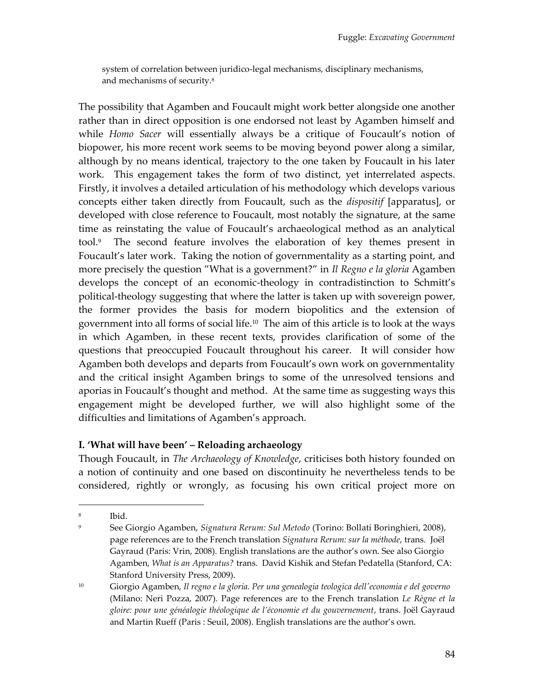system of correlation between juridico-legal mechanisms, disciplinary mechanisms, and mechanisms of security.<sup>8</sup>

The possibility that Agamben and Foucault might work better alongside one another rather than in direct opposition is one endorsed not least by Agamben himself and while *Homo Sacer* will essentially always be a critique of Foucault's notion of biopower, his more recent work seems to be moving beyond power along a similar, although by no means identical, trajectory to the one taken by Foucault in his later work. This engagement takes the form of two distinct, yet interrelated aspects. Firstly, it involves a detailed articulation of his methodology which develops various concepts either taken directly from Foucault, such as the *dispositif* [apparatus], or developed with close reference to Foucault, most notably the signature, at the same time as reinstating the value of Foucault's archaeological method as an analytical tool.<sup>9</sup> The second feature involves the elaboration of key themes present in Foucault's later work. Taking the notion of governmentality as a starting point, and more precisely the question 'What is a government?' in *Il Regno e la gloria* Agamben develops the concept of an economic-theology in contradistinction to Schmitt's political-theology suggesting that where the latter is taken up with sovereign power, the former provides the basis for modern biopolitics and the extension of government into all forms of social life.<sup>10</sup> The aim of this article is to look at the ways in which Agamben, in these recent texts, provides clarification of some of the questions that preoccupied Foucault throughout his career. It will consider how Agamben both develops and departs from Foucault's own work on governmentality and the critical insight Agamben brings to some of the unresolved tensions and aporias in Foucault's thought and method. At the same time as suggesting ways this engagement might be developed further, we will also highlight some of the difficulties and limitations of Agamben's approach.

### **I. 'What will have been' – Reloading archaeology**

Though Foucault, in *The Archaeology of Knowledge*, criticises both history founded on a notion of continuity and one based on discontinuity he nevertheless tends to be considered, rightly or wrongly, as focusing his own critical project more on

 $\overline{a}$ 8 Ibid.

<sup>9</sup> See Giorgio Agamben, *Signatura Rerum: Sul Metodo* (Torino: Bollati Boringhieri, 2008), page references are to the French translation *Signatura Rerum: sur la méthode*, trans. Joël Gayraud (Paris: Vrin, 2008). English translations are the author's own. See also Giorgio Agamben, *What is an Apparatus?* trans. David Kishik and Stefan Pedatella (Stanford, CA: Stanford University Press, 2009).

<sup>10</sup> Giorgio Agamben, *Il regno e la gloria. Per una genealogia teologica dell'economia e del governo* (Milano: Neri Pozza, 2007). Page references are to the French translation *Le Règne et la gloire: pour une généalogie théologique de l'économie et du gouvernement*, trans. Joël Gayraud and Martin Rueff (Paris : Seuil, 2008). English translations are the author's own.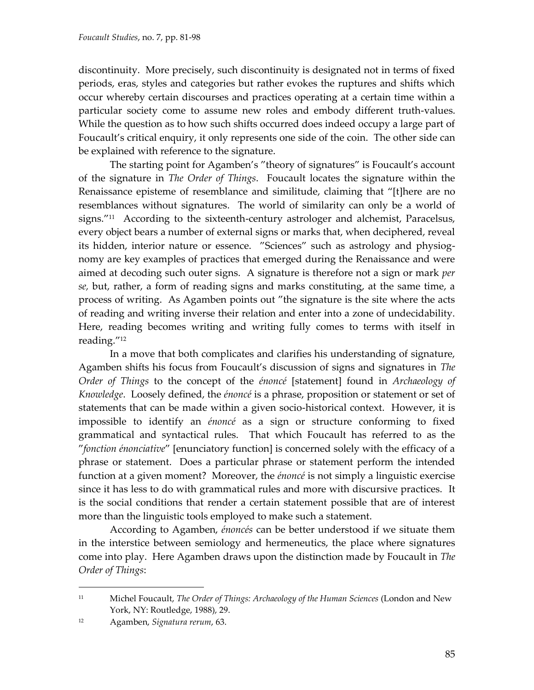discontinuity. More precisely, such discontinuity is designated not in terms of fixed periods, eras, styles and categories but rather evokes the ruptures and shifts which occur whereby certain discourses and practices operating at a certain time within a particular society come to assume new roles and embody different truth-values. While the question as to how such shifts occurred does indeed occupy a large part of Foucault's critical enquiry, it only represents one side of the coin. The other side can be explained with reference to the signature.

The starting point for Agamben's 'theory of signatures' is Foucault's account of the signature in *The Order of Things*. Foucault locates the signature within the Renaissance episteme of resemblance and similitude, claiming that "[t]here are no resemblances without signatures. The world of similarity can only be a world of signs.'<sup>11</sup> According to the sixteenth-century astrologer and alchemist, Paracelsus, every object bears a number of external signs or marks that, when deciphered, reveal its hidden, interior nature or essence. 'Sciences' such as astrology and physiognomy are key examples of practices that emerged during the Renaissance and were aimed at decoding such outer signs. A signature is therefore not a sign or mark *per se,* but, rather, a form of reading signs and marks constituting, at the same time, a process of writing. As Agamben points out 'the signature is the site where the acts of reading and writing inverse their relation and enter into a zone of undecidability. Here, reading becomes writing and writing fully comes to terms with itself in reading."<sup>12</sup>

In a move that both complicates and clarifies his understanding of signature, Agamben shifts his focus from Foucault's discussion of signs and signatures in *The Order of Things* to the concept of the *énoncé* [statement] found in *Archaeology of Knowledge*. Loosely defined, the *énoncé* is a phrase, proposition or statement or set of statements that can be made within a given socio-historical context. However, it is impossible to identify an *énoncé* as a sign or structure conforming to fixed grammatical and syntactical rules. That which Foucault has referred to as the "fonction énonciative" [enunciatory function] is concerned solely with the efficacy of a phrase or statement. Does a particular phrase or statement perform the intended function at a given moment? Moreover, the *énoncé* is not simply a linguistic exercise since it has less to do with grammatical rules and more with discursive practices. It is the social conditions that render a certain statement possible that are of interest more than the linguistic tools employed to make such a statement.

According to Agamben, *énoncés* can be better understood if we situate them in the interstice between semiology and hermeneutics, the place where signatures come into play. Here Agamben draws upon the distinction made by Foucault in *The Order of Things*:

<sup>11</sup> Michel Foucault, *The Order of Things: Archaeology of the Human Sciences* (London and New York, NY: Routledge, 1988), 29.

<sup>12</sup> Agamben, *Signatura rerum*, 63.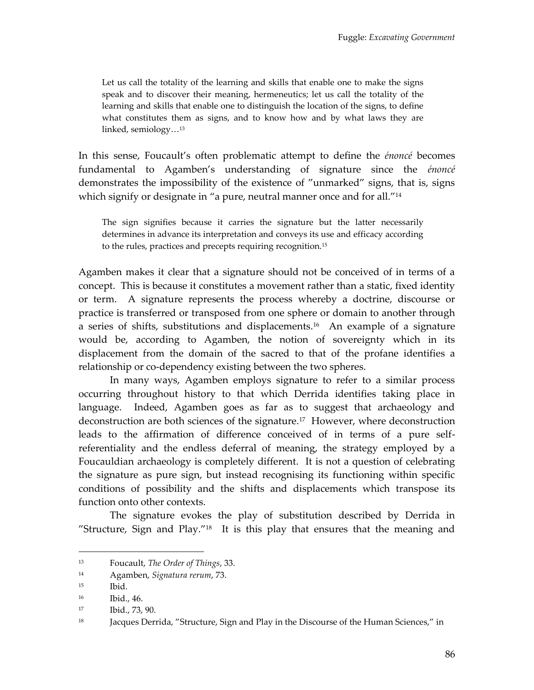Let us call the totality of the learning and skills that enable one to make the signs speak and to discover their meaning, hermeneutics; let us call the totality of the learning and skills that enable one to distinguish the location of the signs, to define what constitutes them as signs, and to know how and by what laws they are linked, semiology...<sup>13</sup>

In this sense, Foucault's often problematic attempt to define the *énoncé* becomes fundamental to Agamben's understanding of signature since the *énoncé*  demonstrates the impossibility of the existence of 'unmarked' signs, that is, signs which signify or designate in "a pure, neutral manner once and for all."<sup>14</sup>

The sign signifies because it carries the signature but the latter necessarily determines in advance its interpretation and conveys its use and efficacy according to the rules, practices and precepts requiring recognition.<sup>15</sup>

Agamben makes it clear that a signature should not be conceived of in terms of a concept. This is because it constitutes a movement rather than a static, fixed identity or term. A signature represents the process whereby a doctrine, discourse or practice is transferred or transposed from one sphere or domain to another through a series of shifts, substitutions and displacements.<sup>16</sup> An example of a signature would be, according to Agamben, the notion of sovereignty which in its displacement from the domain of the sacred to that of the profane identifies a relationship or co-dependency existing between the two spheres.

In many ways, Agamben employs signature to refer to a similar process occurring throughout history to that which Derrida identifies taking place in language. Indeed, Agamben goes as far as to suggest that archaeology and deconstruction are both sciences of the signature.<sup>17</sup> However, where deconstruction leads to the affirmation of difference conceived of in terms of a pure selfreferentiality and the endless deferral of meaning, the strategy employed by a Foucauldian archaeology is completely different. It is not a question of celebrating the signature as pure sign, but instead recognising its functioning within specific conditions of possibility and the shifts and displacements which transpose its function onto other contexts.

The signature evokes the play of substitution described by Derrida in "Structure, Sign and Play." $18$  It is this play that ensures that the meaning and

<sup>13</sup> Foucault, *The Order of Things*, 33.

<sup>14</sup> Agamben, *Signatura rerum*, 73.

<sup>15</sup> Ibid.

<sup>16</sup> Ibid., 46.

<sup>17</sup> Ibid., 73, 90.

<sup>&</sup>lt;sup>18</sup> Jacques Derrida, "Structure, Sign and Play in the Discourse of the Human Sciences," in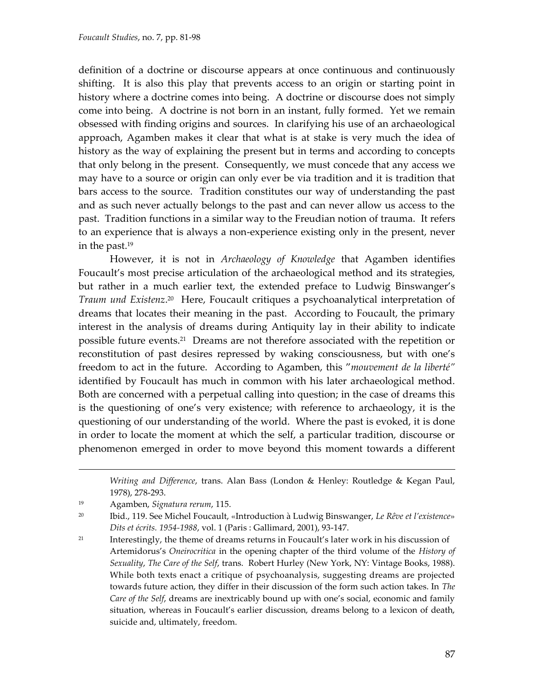definition of a doctrine or discourse appears at once continuous and continuously shifting. It is also this play that prevents access to an origin or starting point in history where a doctrine comes into being. A doctrine or discourse does not simply come into being. A doctrine is not born in an instant, fully formed. Yet we remain obsessed with finding origins and sources. In clarifying his use of an archaeological approach, Agamben makes it clear that what is at stake is very much the idea of history as the way of explaining the present but in terms and according to concepts that only belong in the present. Consequently, we must concede that any access we may have to a source or origin can only ever be via tradition and it is tradition that bars access to the source. Tradition constitutes our way of understanding the past and as such never actually belongs to the past and can never allow us access to the past. Tradition functions in a similar way to the Freudian notion of trauma. It refers to an experience that is always a non-experience existing only in the present, never in the past.<sup>19</sup>

However, it is not in *Archaeology of Knowledge* that Agamben identifies Foucault's most precise articulation of the archaeological method and its strategies, but rather in a much earlier text, the extended preface to Ludwig Binswanger's Traum und Existenz.<sup>20</sup> Here, Foucault critiques a psychoanalytical interpretation of dreams that locates their meaning in the past. According to Foucault, the primary interest in the analysis of dreams during Antiquity lay in their ability to indicate possible future events.<sup>21</sup> Dreams are not therefore associated with the repetition or reconstitution of past desires repressed by waking consciousness, but with one's freedom to act in the future. According to Agamben, this '*mouvement de la liberté"* identified by Foucault has much in common with his later archaeological method. Both are concerned with a perpetual calling into question; in the case of dreams this is the questioning of one's very existence; with reference to archaeology, it is the questioning of our understanding of the world. Where the past is evoked, it is done in order to locate the moment at which the self, a particular tradition, discourse or phenomenon emerged in order to move beyond this moment towards a different

*Writing and Difference*, trans. Alan Bass (London & Henley: Routledge & Kegan Paul, 1978), 278-293.

<sup>19</sup> Agamben, *Signatura rerum*, 115.

<sup>20</sup> Ibid., 119. See Michel Foucault, «Introduction à Ludwig Binswanger, *Le Rêve et l'existence*» *Dits et écrits. 1954-1988*, vol. 1 (Paris : Gallimard, 2001), 93-147.

<sup>&</sup>lt;sup>21</sup> Interestingly, the theme of dreams returns in Foucault's later work in his discussion of Artemidorus's *Oneirocritica* in the opening chapter of the third volume of the *History of Sexuality*, *The Care of the Self*, trans. Robert Hurley (New York, NY: Vintage Books, 1988). While both texts enact a critique of psychoanalysis, suggesting dreams are projected towards future action, they differ in their discussion of the form such action takes. In *The Care of the Self*, dreams are inextricably bound up with one's social, economic and family situation, whereas in Foucault's earlier discussion, dreams belong to a lexicon of death, suicide and, ultimately, freedom.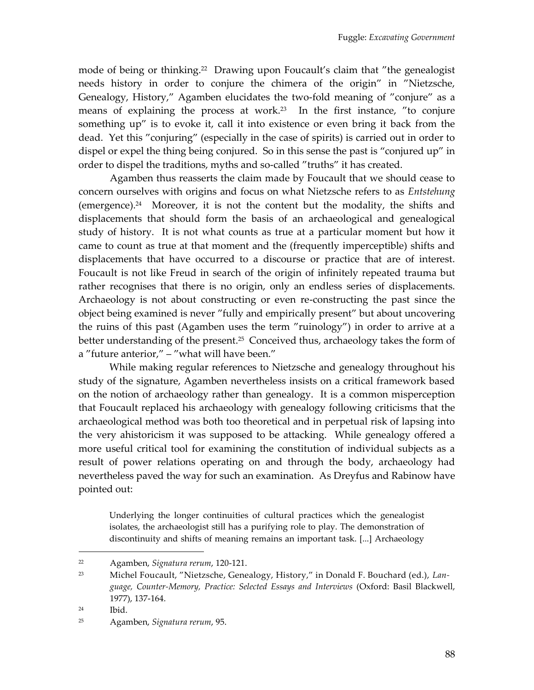mode of being or thinking.<sup>22</sup> Drawing upon Foucault's claim that "the genealogist needs history in order to conjure the chimera of the origin' in 'Nietzsche, Genealogy, History,' Agamben elucidates the two-fold meaning of 'conjure' as a means of explaining the process at work.<sup>23</sup> In the first instance, "to conjure something up' is to evoke it, call it into existence or even bring it back from the dead. Yet this 'conjuring' (especially in the case of spirits) is carried out in order to dispel or expel the thing being conjured. So in this sense the past is 'conjured up' in order to dispel the traditions, myths and so-called "truths" it has created.

Agamben thus reasserts the claim made by Foucault that we should cease to concern ourselves with origins and focus on what Nietzsche refers to as *Entstehung* (emergence).<sup>24</sup> Moreover, it is not the content but the modality, the shifts and displacements that should form the basis of an archaeological and genealogical study of history. It is not what counts as true at a particular moment but how it came to count as true at that moment and the (frequently imperceptible) shifts and displacements that have occurred to a discourse or practice that are of interest. Foucault is not like Freud in search of the origin of infinitely repeated trauma but rather recognises that there is no origin, only an endless series of displacements. Archaeology is not about constructing or even re-constructing the past since the object being examined is never 'fully and empirically present' but about uncovering the ruins of this past (Agamben uses the term 'ruinology') in order to arrive at a better understanding of the present.<sup>25</sup> Conceived thus, archaeology takes the form of a "future anterior," - "what will have been."

While making regular references to Nietzsche and genealogy throughout his study of the signature, Agamben nevertheless insists on a critical framework based on the notion of archaeology rather than genealogy. It is a common misperception that Foucault replaced his archaeology with genealogy following criticisms that the archaeological method was both too theoretical and in perpetual risk of lapsing into the very ahistoricism it was supposed to be attacking. While genealogy offered a more useful critical tool for examining the constitution of individual subjects as a result of power relations operating on and through the body, archaeology had nevertheless paved the way for such an examination. As Dreyfus and Rabinow have pointed out:

Underlying the longer continuities of cultural practices which the genealogist isolates, the archaeologist still has a purifying role to play. The demonstration of discontinuity and shifts of meaning remains an important task. [...] Archaeology

<sup>22</sup> Agamben, *Signatura rerum*, 120-121.

<sup>23</sup> Michel Foucault, 'Nietzsche, Genealogy, History,' in Donald F. Bouchard (ed.), *Language, Counter-Memory, Practice: Selected Essays and Interviews* (Oxford: Basil Blackwell, 1977), 137-164.

<sup>24</sup> Ibid.

<sup>25</sup> Agamben, *Signatura rerum*, 95.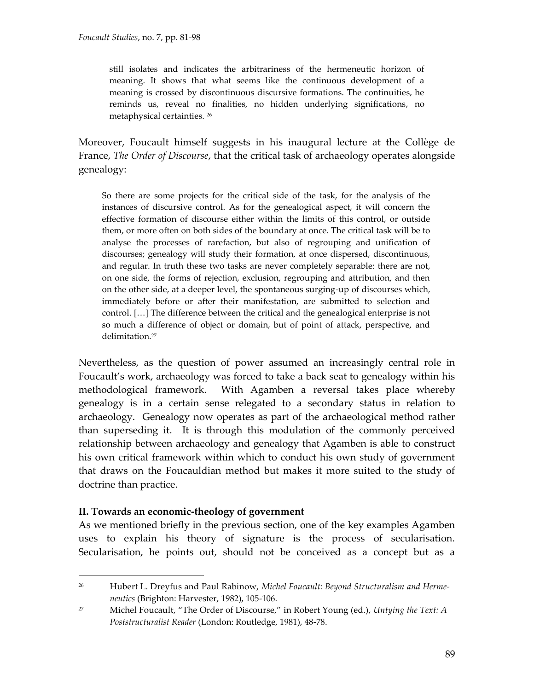still isolates and indicates the arbitrariness of the hermeneutic horizon of meaning. It shows that what seems like the continuous development of a meaning is crossed by discontinuous discursive formations. The continuities, he reminds us, reveal no finalities, no hidden underlying significations, no metaphysical certainties. <sup>26</sup>

Moreover, Foucault himself suggests in his inaugural lecture at the Collège de France, *The Order of Discourse*, that the critical task of archaeology operates alongside genealogy:

So there are some projects for the critical side of the task, for the analysis of the instances of discursive control. As for the genealogical aspect, it will concern the effective formation of discourse either within the limits of this control, or outside them, or more often on both sides of the boundary at once. The critical task will be to analyse the processes of rarefaction, but also of regrouping and unification of discourses; genealogy will study their formation, at once dispersed, discontinuous, and regular. In truth these two tasks are never completely separable: there are not, on one side, the forms of rejection, exclusion, regrouping and attribution, and then on the other side, at a deeper level, the spontaneous surging-up of discourses which, immediately before or after their manifestation, are submitted to selection and control.  $[...]$  The difference between the critical and the genealogical enterprise is not so much a difference of object or domain, but of point of attack, perspective, and delimitation.<sup>27</sup>

Nevertheless, as the question of power assumed an increasingly central role in Foucault's work, archaeology was forced to take a back seat to genealogy within his methodological framework. With Agamben a reversal takes place whereby genealogy is in a certain sense relegated to a secondary status in relation to archaeology. Genealogy now operates as part of the archaeological method rather than superseding it. It is through this modulation of the commonly perceived relationship between archaeology and genealogy that Agamben is able to construct his own critical framework within which to conduct his own study of government that draws on the Foucauldian method but makes it more suited to the study of doctrine than practice.

#### **II. Towards an economic-theology of government**

 $\overline{a}$ 

As we mentioned briefly in the previous section, one of the key examples Agamben uses to explain his theory of signature is the process of secularisation. Secularisation, he points out, should not be conceived as a concept but as a

<sup>26</sup> Hubert L. Dreyfus and Paul Rabinow, *Michel Foucault: Beyond Structuralism and Hermeneutics* (Brighton: Harvester, 1982), 105-106.

<sup>27</sup> Michel Foucault, 'The Order of Discourse,' in Robert Young (ed.), *Untying the Text: A Poststructuralist Reader* (London: Routledge, 1981), 48-78.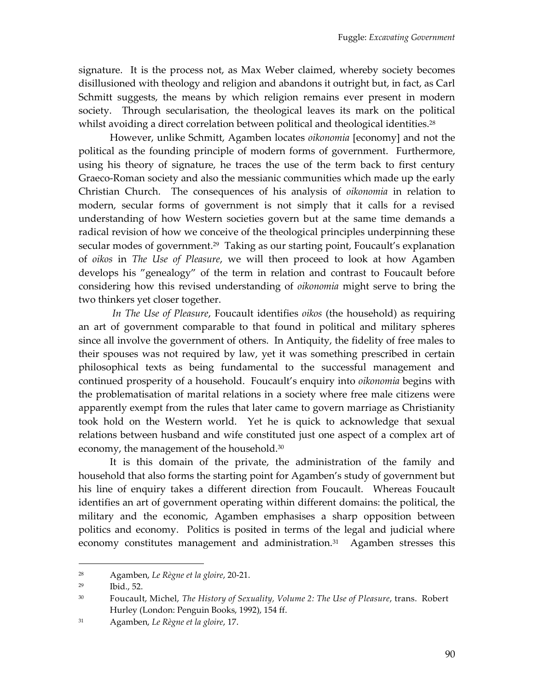signature. It is the process not, as Max Weber claimed, whereby society becomes disillusioned with theology and religion and abandons it outright but, in fact, as Carl Schmitt suggests, the means by which religion remains ever present in modern society. Through secularisation, the theological leaves its mark on the political whilst avoiding a direct correlation between political and theological identities.<sup>28</sup>

However, unlike Schmitt, Agamben locates *oikonomia* [economy] and not the political as the founding principle of modern forms of government. Furthermore, using his theory of signature, he traces the use of the term back to first century Graeco-Roman society and also the messianic communities which made up the early Christian Church. The consequences of his analysis of *oikonomia* in relation to modern, secular forms of government is not simply that it calls for a revised understanding of how Western societies govern but at the same time demands a radical revision of how we conceive of the theological principles underpinning these secular modes of government.<sup>29</sup> Taking as our starting point, Foucault's explanation of *oikos* in *The Use of Pleasure*, we will then proceed to look at how Agamben develops his 'genealogy' of the term in relation and contrast to Foucault before considering how this revised understanding of *oikonomia* might serve to bring the two thinkers yet closer together.

*In The Use of Pleasure*, Foucault identifies *oikos* (the household) as requiring an art of government comparable to that found in political and military spheres since all involve the government of others. In Antiquity, the fidelity of free males to their spouses was not required by law, yet it was something prescribed in certain philosophical texts as being fundamental to the successful management and continued prosperity of a household. Foucault's enquiry into *oikonomia* begins with the problematisation of marital relations in a society where free male citizens were apparently exempt from the rules that later came to govern marriage as Christianity took hold on the Western world. Yet he is quick to acknowledge that sexual relations between husband and wife constituted just one aspect of a complex art of economy, the management of the household.<sup>30</sup>

It is this domain of the private, the administration of the family and household that also forms the starting point for Agamben's study of government but his line of enquiry takes a different direction from Foucault. Whereas Foucault identifies an art of government operating within different domains: the political, the military and the economic, Agamben emphasises a sharp opposition between politics and economy. Politics is posited in terms of the legal and judicial where economy constitutes management and administration.<sup>31</sup> Agamben stresses this

<sup>28</sup> Agamben, *Le Règne et la gloire*, 20-21.

<sup>29</sup> Ibid., 52.

<sup>30</sup> Foucault, Michel, *The History of Sexuality, Volume 2: The Use of Pleasure*, trans. Robert Hurley (London: Penguin Books, 1992), 154 ff.

<sup>31</sup> Agamben, *Le Règne et la gloire*, 17.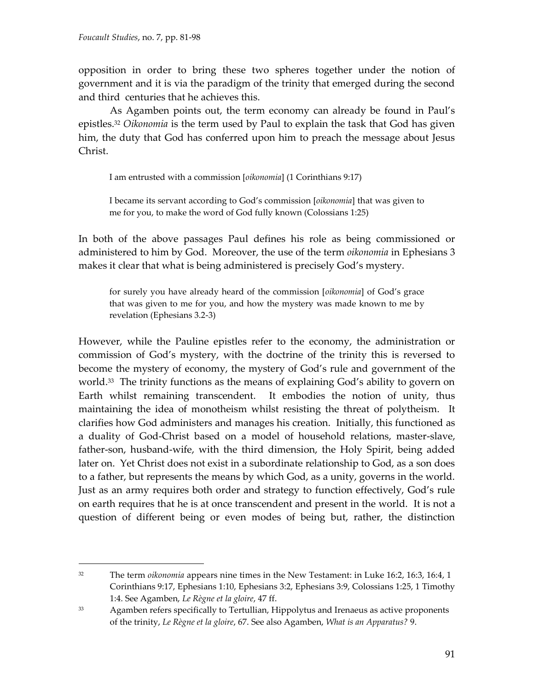$\overline{a}$ 

opposition in order to bring these two spheres together under the notion of government and it is via the paradigm of the trinity that emerged during the second and third centuries that he achieves this.

As Agamben points out, the term economy can already be found in Paul's epistles.<sup>32</sup> *Oikonomia* is the term used by Paul to explain the task that God has given him, the duty that God has conferred upon him to preach the message about Jesus Christ.

I am entrusted with a commission [*oikonomia*] (1 Corinthians 9:17)

I became its servant according to God's commission *[oikonomia]* that was given to me for you, to make the word of God fully known (Colossians 1:25)

In both of the above passages Paul defines his role as being commissioned or administered to him by God. Moreover, the use of the term *oikonomia* in Ephesians 3 makes it clear that what is being administered is precisely God's mystery.

for surely you have already heard of the commission [oikonomia] of God's grace that was given to me for you, and how the mystery was made known to me by revelation (Ephesians 3.2-3)

However, while the Pauline epistles refer to the economy, the administration or commission of God's mystery, with the doctrine of the trinity this is reversed to become the mystery of economy, the mystery of God's rule and government of the world.<sup>33</sup> The trinity functions as the means of explaining God's ability to govern on Earth whilst remaining transcendent. It embodies the notion of unity, thus maintaining the idea of monotheism whilst resisting the threat of polytheism. It clarifies how God administers and manages his creation. Initially, this functioned as a duality of God-Christ based on a model of household relations, master-slave, father-son, husband-wife, with the third dimension, the Holy Spirit, being added later on. Yet Christ does not exist in a subordinate relationship to God, as a son does to a father, but represents the means by which God, as a unity, governs in the world. Just as an army requires both order and strategy to function effectively, God's rule on earth requires that he is at once transcendent and present in the world. It is not a question of different being or even modes of being but, rather, the distinction

<sup>&</sup>lt;sup>32</sup> The term *oikonomia* appears nine times in the New Testament: in Luke 16:2, 16:3, 16:4, 1 Corinthians 9:17, Ephesians 1:10, Ephesians 3:2, Ephesians 3:9, Colossians 1:25, 1 Timothy 1:4. See Agamben, *Le Règne et la gloire*, 47 ff.

<sup>33</sup> Agamben refers specifically to Tertullian, Hippolytus and Irenaeus as active proponents of the trinity, *Le Règne et la gloire*, 67. See also Agamben, *What is an Apparatus?* 9.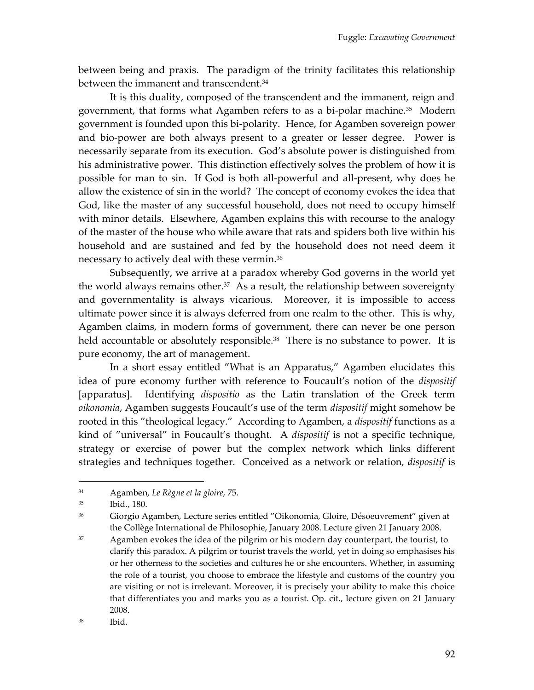between being and praxis. The paradigm of the trinity facilitates this relationship between the immanent and transcendent.<sup>34</sup>

It is this duality, composed of the transcendent and the immanent, reign and government, that forms what Agamben refers to as a bi-polar machine.<sup>35</sup> Modern government is founded upon this bi-polarity. Hence, for Agamben sovereign power and bio-power are both always present to a greater or lesser degree. Power is necessarily separate from its execution. God's absolute power is distinguished from his administrative power. This distinction effectively solves the problem of how it is possible for man to sin. If God is both all-powerful and all-present, why does he allow the existence of sin in the world? The concept of economy evokes the idea that God, like the master of any successful household, does not need to occupy himself with minor details. Elsewhere, Agamben explains this with recourse to the analogy of the master of the house who while aware that rats and spiders both live within his household and are sustained and fed by the household does not need deem it necessary to actively deal with these vermin.<sup>36</sup>

Subsequently, we arrive at a paradox whereby God governs in the world yet the world always remains other. $37$  As a result, the relationship between sovereignty and governmentality is always vicarious. Moreover, it is impossible to access ultimate power since it is always deferred from one realm to the other. This is why, Agamben claims, in modern forms of government, there can never be one person held accountable or absolutely responsible.<sup>38</sup> There is no substance to power. It is pure economy, the art of management.

In a short essay entitled 'What is an Apparatus,' Agamben elucidates this idea of pure economy further with reference to Foucault's notion of the *dispositif* [apparatus]. Identifying *dispositio* as the Latin translation of the Greek term *oikonomia*, Agamben suggests Foucault's use of the term *dispositif* might somehow be rooted in this 'theological legacy.' According to Agamben, a *dispositif* functions as a kind of 'universal' in Foucault's thought. A *dispositif* is not a specific technique, strategy or exercise of power but the complex network which links different strategies and techniques together. Conceived as a network or relation, *dispositif* is

<sup>34</sup> Agamben, *Le Règne et la gloire*, 75.

<sup>35</sup> Ibid., 180.

<sup>36</sup> Giorgio Agamben, Lecture series entitled 'Oikonomia, Gloire, Désoeuvrement' given at the Collège International de Philosophie, January 2008. Lecture given 21 January 2008.

 $37$  Agamben evokes the idea of the pilgrim or his modern day counterpart, the tourist, to clarify this paradox. A pilgrim or tourist travels the world, yet in doing so emphasises his or her otherness to the societies and cultures he or she encounters. Whether, in assuming the role of a tourist, you choose to embrace the lifestyle and customs of the country you are visiting or not is irrelevant. Moreover, it is precisely your ability to make this choice that differentiates you and marks you as a tourist. Op. cit., lecture given on 21 January 2008.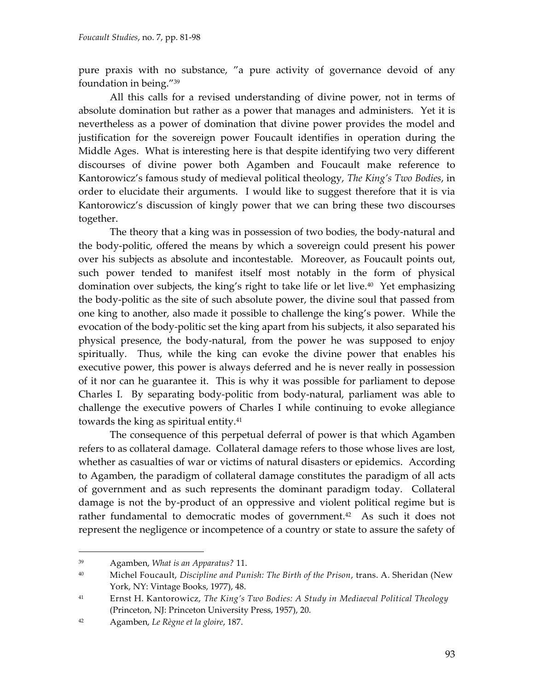pure praxis with no substance, "a pure activity of governance devoid of any foundation in being."<sup>39</sup>

All this calls for a revised understanding of divine power, not in terms of absolute domination but rather as a power that manages and administers. Yet it is nevertheless as a power of domination that divine power provides the model and justification for the sovereign power Foucault identifies in operation during the Middle Ages. What is interesting here is that despite identifying two very different discourses of divine power both Agamben and Foucault make reference to Kantorowicz's famous study of medieval political theology, *The King's Two Bodies*, in order to elucidate their arguments. I would like to suggest therefore that it is via Kantorowicz's discussion of kingly power that we can bring these two discourses together.

The theory that a king was in possession of two bodies, the body-natural and the body-politic, offered the means by which a sovereign could present his power over his subjects as absolute and incontestable. Moreover, as Foucault points out, such power tended to manifest itself most notably in the form of physical domination over subjects, the king's right to take life or let live.<sup>40</sup> Yet emphasizing the body-politic as the site of such absolute power, the divine soul that passed from one king to another, also made it possible to challenge the king's power. While the evocation of the body-politic set the king apart from his subjects, it also separated his physical presence, the body-natural, from the power he was supposed to enjoy spiritually. Thus, while the king can evoke the divine power that enables his executive power, this power is always deferred and he is never really in possession of it nor can he guarantee it. This is why it was possible for parliament to depose Charles I. By separating body-politic from body-natural, parliament was able to challenge the executive powers of Charles I while continuing to evoke allegiance towards the king as spiritual entity.<sup>41</sup>

The consequence of this perpetual deferral of power is that which Agamben refers to as collateral damage. Collateral damage refers to those whose lives are lost, whether as casualties of war or victims of natural disasters or epidemics. According to Agamben, the paradigm of collateral damage constitutes the paradigm of all acts of government and as such represents the dominant paradigm today. Collateral damage is not the by-product of an oppressive and violent political regime but is rather fundamental to democratic modes of government.<sup>42</sup> As such it does not represent the negligence or incompetence of a country or state to assure the safety of

<sup>39</sup> Agamben, *What is an Apparatus?* 11.

<sup>40</sup> Michel Foucault, *Discipline and Punish: The Birth of the Prison*, trans. A. Sheridan (New York, NY: Vintage Books, 1977), 48.

<sup>41</sup> Ernst H. Kantorowicz, *The King's Two Bodies: A Study in Mediaeval Political Theology* (Princeton, NJ: Princeton University Press, 1957), 20.

<sup>42</sup> Agamben, *Le Règne et la gloire*, 187.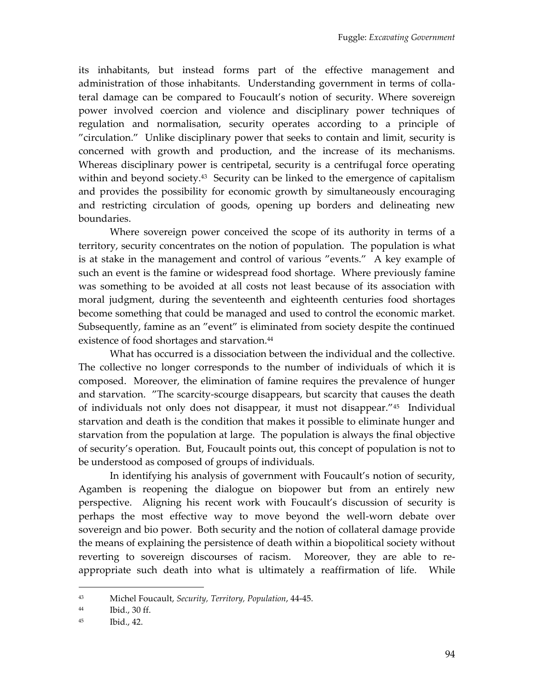its inhabitants, but instead forms part of the effective management and administration of those inhabitants. Understanding government in terms of collateral damage can be compared to Foucault's notion of security. Where sovereign power involved coercion and violence and disciplinary power techniques of regulation and normalisation, security operates according to a principle of 'circulation.' Unlike disciplinary power that seeks to contain and limit, security is concerned with growth and production, and the increase of its mechanisms. Whereas disciplinary power is centripetal, security is a centrifugal force operating within and beyond society.<sup>43</sup> Security can be linked to the emergence of capitalism and provides the possibility for economic growth by simultaneously encouraging and restricting circulation of goods, opening up borders and delineating new boundaries.

Where sovereign power conceived the scope of its authority in terms of a territory, security concentrates on the notion of population. The population is what is at stake in the management and control of various 'events.' A key example of such an event is the famine or widespread food shortage. Where previously famine was something to be avoided at all costs not least because of its association with moral judgment, during the seventeenth and eighteenth centuries food shortages become something that could be managed and used to control the economic market. Subsequently, famine as an "event" is eliminated from society despite the continued existence of food shortages and starvation.<sup>44</sup>

What has occurred is a dissociation between the individual and the collective. The collective no longer corresponds to the number of individuals of which it is composed. Moreover, the elimination of famine requires the prevalence of hunger and starvation. 'The scarcity-scourge disappears, but scarcity that causes the death of individuals not only does not disappear, it must not disappear.'<sup>45</sup> Individual starvation and death is the condition that makes it possible to eliminate hunger and starvation from the population at large. The population is always the final objective of security's operation. But, Foucault points out, this concept of population is not to be understood as composed of groups of individuals.

In identifying his analysis of government with Foucault's notion of security, Agamben is reopening the dialogue on biopower but from an entirely new perspective. Aligning his recent work with Foucault's discussion of security is perhaps the most effective way to move beyond the well-worn debate over sovereign and bio power. Both security and the notion of collateral damage provide the means of explaining the persistence of death within a biopolitical society without reverting to sovereign discourses of racism. Moreover, they are able to reappropriate such death into what is ultimately a reaffirmation of life. While

<sup>43</sup> Michel Foucault, *Security, Territory, Population*, 44-45.

<sup>44</sup> Ibid., 30 ff.

<sup>45</sup> Ibid., 42.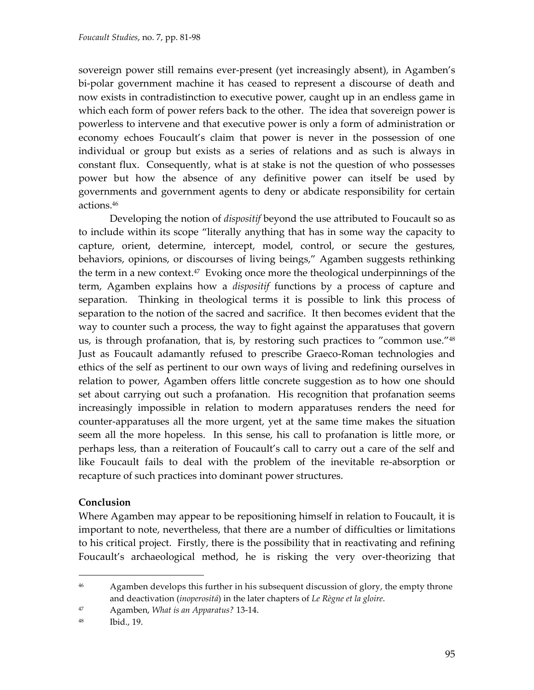sovereign power still remains ever-present (yet increasingly absent), in Agamben's bi-polar government machine it has ceased to represent a discourse of death and now exists in contradistinction to executive power, caught up in an endless game in which each form of power refers back to the other. The idea that sovereign power is powerless to intervene and that executive power is only a form of administration or economy echoes Foucault's claim that power is never in the possession of one individual or group but exists as a series of relations and as such is always in constant flux. Consequently, what is at stake is not the question of who possesses power but how the absence of any definitive power can itself be used by governments and government agents to deny or abdicate responsibility for certain actions.<sup>46</sup>

Developing the notion of *dispositif* beyond the use attributed to Foucault so as to include within its scope 'literally anything that has in some way the capacity to capture, orient, determine, intercept, model, control, or secure the gestures, behaviors, opinions, or discourses of living beings,' Agamben suggests rethinking the term in a new context.<sup>47</sup> Evoking once more the theological underpinnings of the term, Agamben explains how a *dispositif* functions by a process of capture and separation. Thinking in theological terms it is possible to link this process of separation to the notion of the sacred and sacrifice. It then becomes evident that the way to counter such a process, the way to fight against the apparatuses that govern us, is through profanation, that is, by restoring such practices to "common use."<sup>48</sup> Just as Foucault adamantly refused to prescribe Graeco-Roman technologies and ethics of the self as pertinent to our own ways of living and redefining ourselves in relation to power, Agamben offers little concrete suggestion as to how one should set about carrying out such a profanation. His recognition that profanation seems increasingly impossible in relation to modern apparatuses renders the need for counter-apparatuses all the more urgent, yet at the same time makes the situation seem all the more hopeless. In this sense, his call to profanation is little more, or perhaps less, than a reiteration of Foucault's call to carry out a care of the self and like Foucault fails to deal with the problem of the inevitable re-absorption or recapture of such practices into dominant power structures.

#### **Conclusion**

 $\overline{a}$ 

Where Agamben may appear to be repositioning himself in relation to Foucault, it is important to note, nevertheless, that there are a number of difficulties or limitations to his critical project. Firstly, there is the possibility that in reactivating and refining Foucault's archaeological method, he is risking the very over-theorizing that

<sup>&</sup>lt;sup>46</sup> Agamben develops this further in his subsequent discussion of glory, the empty throne and deactivation (*inoperositá*) in the later chapters of *Le Règne et la gloire*.

<sup>47</sup> Agamben, *What is an Apparatus?* 13-14.

<sup>48</sup> Ibid., 19.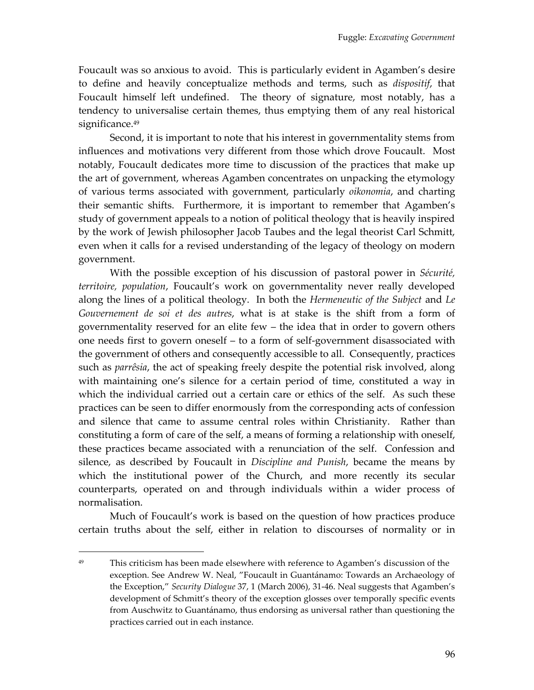Foucault was so anxious to avoid. This is particularly evident in Agamben's desire to define and heavily conceptualize methods and terms, such as *dispositif*, that Foucault himself left undefined. The theory of signature, most notably, has a tendency to universalise certain themes, thus emptying them of any real historical significance. 49

Second, it is important to note that his interest in governmentality stems from influences and motivations very different from those which drove Foucault. Most notably, Foucault dedicates more time to discussion of the practices that make up the art of government, whereas Agamben concentrates on unpacking the etymology of various terms associated with government, particularly *oikonomia*, and charting their semantic shifts. Furthermore, it is important to remember that Agamben's study of government appeals to a notion of political theology that is heavily inspired by the work of Jewish philosopher Jacob Taubes and the legal theorist Carl Schmitt, even when it calls for a revised understanding of the legacy of theology on modern government.

With the possible exception of his discussion of pastoral power in *Sécurité, territoire, population*, Foucault's work on governmentality never really developed along the lines of a political theology. In both the *Hermeneutic of the Subject* and *Le Gouvernement de soi et des autres*, what is at stake is the shift from a form of governmentality reserved for an elite few – the idea that in order to govern others one needs first to govern oneself – to a form of self-government disassociated with the government of others and consequently accessible to all. Consequently, practices such as *parrêsia*, the act of speaking freely despite the potential risk involved, along with maintaining one's silence for a certain period of time, constituted a way in which the individual carried out a certain care or ethics of the self. As such these practices can be seen to differ enormously from the corresponding acts of confession and silence that came to assume central roles within Christianity. Rather than constituting a form of care of the self, a means of forming a relationship with oneself, these practices became associated with a renunciation of the self. Confession and silence, as described by Foucault in *Discipline and Punish*, became the means by which the institutional power of the Church, and more recently its secular counterparts, operated on and through individuals within a wider process of normalisation.

Much of Foucault's work is based on the question of how practices produce certain truths about the self, either in relation to discourses of normality or in

<sup>&</sup>lt;sup>49</sup> This criticism has been made elsewhere with reference to Agamben's discussion of the exception. See Andrew W. Neal, "Foucault in Guantánamo: Towards an Archaeology of the Exception,' *Security Dialogue* 37, 1 (March 2006), 31-46. Neal suggests that Agamben's development of Schmitt's theory of the exception glosses over temporally specific events from Auschwitz to Guantánamo, thus endorsing as universal rather than questioning the practices carried out in each instance.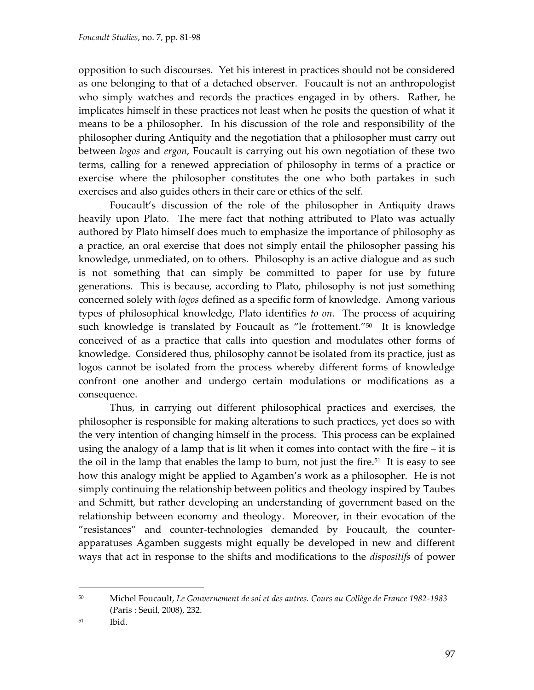opposition to such discourses. Yet his interest in practices should not be considered as one belonging to that of a detached observer. Foucault is not an anthropologist who simply watches and records the practices engaged in by others. Rather, he implicates himself in these practices not least when he posits the question of what it means to be a philosopher. In his discussion of the role and responsibility of the philosopher during Antiquity and the negotiation that a philosopher must carry out between *logos* and *ergon*, Foucault is carrying out his own negotiation of these two terms, calling for a renewed appreciation of philosophy in terms of a practice or exercise where the philosopher constitutes the one who both partakes in such exercises and also guides others in their care or ethics of the self.

Foucault's discussion of the role of the philosopher in Antiquity draws heavily upon Plato. The mere fact that nothing attributed to Plato was actually authored by Plato himself does much to emphasize the importance of philosophy as a practice, an oral exercise that does not simply entail the philosopher passing his knowledge, unmediated, on to others. Philosophy is an active dialogue and as such is not something that can simply be committed to paper for use by future generations. This is because, according to Plato, philosophy is not just something concerned solely with *logos* defined as a specific form of knowledge. Among various types of philosophical knowledge, Plato identifies *to on*. The process of acquiring such knowledge is translated by Foucault as "le frottement."<sup>50</sup> It is knowledge conceived of as a practice that calls into question and modulates other forms of knowledge. Considered thus, philosophy cannot be isolated from its practice, just as logos cannot be isolated from the process whereby different forms of knowledge confront one another and undergo certain modulations or modifications as a consequence.

Thus, in carrying out different philosophical practices and exercises, the philosopher is responsible for making alterations to such practices, yet does so with the very intention of changing himself in the process. This process can be explained using the analogy of a lamp that is lit when it comes into contact with the fire – it is the oil in the lamp that enables the lamp to burn, not just the fire.<sup>51</sup> It is easy to see how this analogy might be applied to Agamben's work as a philosopher. He is not simply continuing the relationship between politics and theology inspired by Taubes and Schmitt, but rather developing an understanding of government based on the relationship between economy and theology. Moreover, in their evocation of the 'resistances' and counter-technologies demanded by Foucault, the counterapparatuses Agamben suggests might equally be developed in new and different ways that act in response to the shifts and modifications to the *dispositifs* of power

<sup>50</sup> Michel Foucault, *Le Gouvernement de soi et des autres. Cours au Collège de France 1982-1983* (Paris : Seuil, 2008), 232.

<sup>51</sup> Ibid.